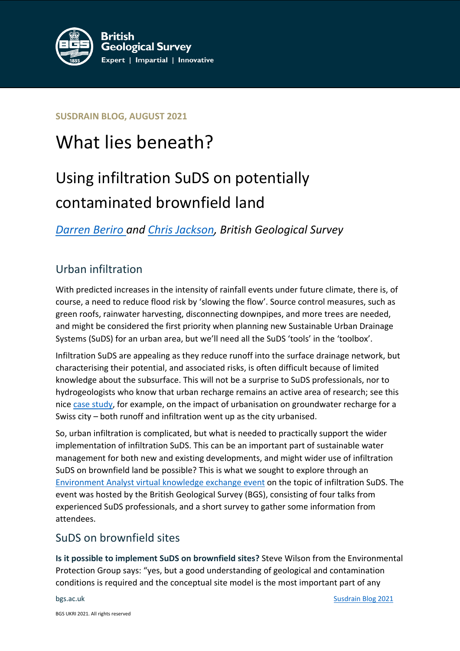

**SUSDRAIN BLOG, AUGUST 2021**

# What lies beneath?

# Using infiltration SuDS on potentially contaminated brownfield land

*[Darren Beriro](https://www.bgs.ac.uk/people/beriro-darren/) and [Chris Jackson,](https://www.bgs.ac.uk/people/jackson-christopher/) British Geological Survey*

## Urban infiltration

With predicted increases in the intensity of rainfall events under future climate, there is, of course, a need to reduce flood risk by 'slowing the flow'. Source control measures, such as green roofs, rainwater harvesting, disconnecting downpipes, and more trees are needed, and might be considered the first priority when planning new Sustainable Urban Drainage Systems (SuDS) for an urban area, but we'll need all the SuDS 'tools' in the 'toolbox'.

Infiltration SuDS are appealing as they reduce runoff into the surface drainage network, but characterising their potential, and associated risks, is often difficult because of limited knowledge about the subsurface. This will not be a surprise to SuDS professionals, nor to hydrogeologists who know that urban recharge remains an active area of research; see this nice [case study,](https://doi.org/10.1016/j.jhydrol.2017.09.058) for example, on the impact of urbanisation on groundwater recharge for a Swiss city – both runoff and infiltration went up as the city urbanised.

So, urban infiltration is complicated, but what is needed to practically support the wider implementation of infiltration SuDS. This can be an important part of sustainable water management for both new and existing developments, and might wider use of infiltration SuDS on brownfield land be possible? This is what we sought to explore through an [Environment Analyst virtual knowledge exchange event](https://events.environment-analyst.com/106154/exploring-the-barriers-and-opportunities-for-infiltration-suds-on-potentially-contaminated-brownfield-land/programme) on the topic of infiltration SuDS. The event was hosted by the British Geological Survey (BGS), consisting of four talks from experienced SuDS professionals, and a short survey to gather some information from attendees.

### SuDS on brownfield sites

**Is it possible to implement SuDS on brownfield sites?** Steve Wilson from the Environmental Protection Group says: "yes, but a good understanding of geological and contamination conditions is required and the conceptual site model is the most important part of any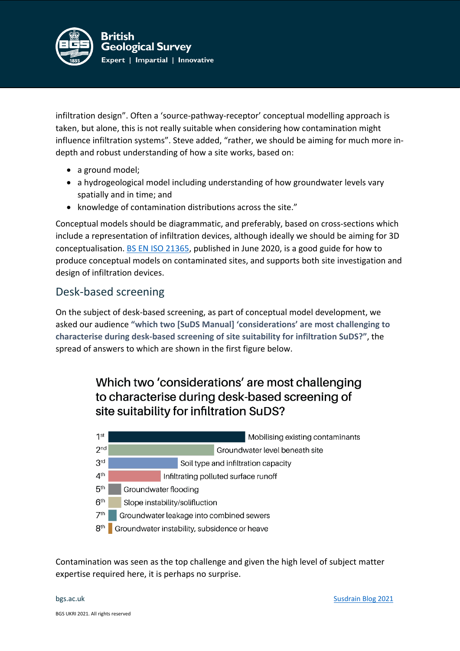

infiltration design". Often a 'source-pathway-receptor' conceptual modelling approach is taken, but alone, this is not really suitable when considering how contamination might influence infiltration systems". Steve added, "rather, we should be aiming for much more indepth and robust understanding of how a site works, based on:

- a ground model;
- a hydrogeological model including understanding of how groundwater levels vary spatially and in time; and
- knowledge of contamination distributions across the site."

Conceptual models should be diagrammatic, and preferably, based on cross-sections which include a representation of infiltration devices, although ideally we should be aiming for 3D conceptualisation. [BS EN ISO 21365,](https://standardsdevelopment.bsigroup.com/projects/2017-02617#/section) published in June 2020, is a good guide for how to produce conceptual models on contaminated sites, and supports both site investigation and design of infiltration devices.

#### Desk-based screening

On the subject of desk-based screening, as part of conceptual model development, we asked our audience **"which two [SuDS Manual] 'considerations' are most challenging to characterise during desk-based screening of site suitability for infiltration SuDS?"**, the spread of answers to which are shown in the first figure below.

## Which two 'considerations' are most challenging to characterise during desk-based screening of site suitability for infiltration SuDS?



Contamination was seen as the top challenge and given the high level of subject matter expertise required here, it is perhaps no surprise.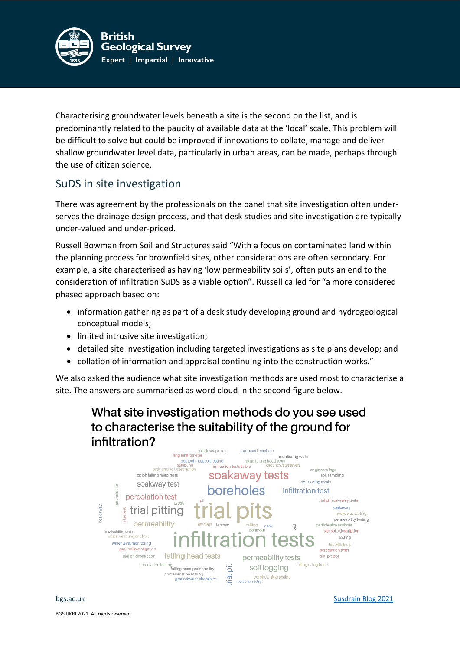

Characterising groundwater levels beneath a site is the second on the list, and is predominantly related to the paucity of available data at the 'local' scale. This problem will be difficult to solve but could be improved if innovations to collate, manage and deliver shallow groundwater level data, particularly in urban areas, can be made, perhaps through the use of citizen science.

### SuDS in site investigation

There was agreement by the professionals on the panel that site investigation often underserves the drainage design process, and that desk studies and site investigation are typically under-valued and under-priced.

Russell Bowman from Soil and Structures said "With a focus on contaminated land within the planning process for brownfield sites, other considerations are often secondary. For example, a site characterised as having 'low permeability soils', often puts an end to the consideration of infiltration SuDS as a viable option". Russell called for "a more considered phased approach based on:

- information gathering as part of a desk study developing ground and hydrogeological conceptual models;
- limited intrusive site investigation;
- detailed site investigation including targeted investigations as site plans develop; and
- collation of information and appraisal continuing into the construction works."

We also asked the audience what site investigation methods are used most to characterise a site. The answers are summarised as word cloud in the second figure below.

# What site investigation methods do you see used to characterise the suitability of the ground for infiltration?



bgs.ac.uk [Susdrain Blog 2021](https://www.susdrain.org/community/blog/what-lies-beneath-using-infiltration-suds-on-potentially-contaminated-brownfield-land/)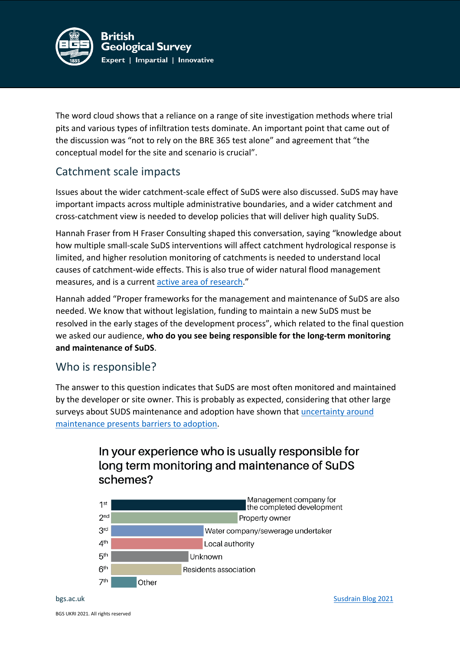

The word cloud shows that a reliance on a range of site investigation methods where trial pits and various types of infiltration tests dominate. An important point that came out of the discussion was "not to rely on the BRE 365 test alone" and agreement that "the conceptual model for the site and scenario is crucial".

#### Catchment scale impacts

Issues about the wider catchment-scale effect of SuDS were also discussed. SuDS may have important impacts across multiple administrative boundaries, and a wider catchment and cross-catchment view is needed to develop policies that will deliver high quality SuDS.

Hannah Fraser from H Fraser Consulting shaped this conversation, saying "knowledge about how multiple small-scale SuDS interventions will affect catchment hydrological response is limited, and higher resolution monitoring of catchments is needed to understand local causes of catchment-wide effects. This is also true of wider natural flood management measures, and is a current [active area of research.](https://doi.org/10.1177/0309133321997299)"

Hannah added "Proper frameworks for the management and maintenance of SuDS are also needed. We know that without legislation, funding to maintain a new SuDS must be resolved in the early stages of the development process", which related to the final question we asked our audience, **who do you see being responsible for the long-term monitoring and maintenance of SuDS**.

#### Who is responsible?

The answer to this question indicates that SuDS are most often monitored and maintained by the developer or site owner. This is probably as expected, considering that other large surveys about SUDS maintenance and adoption have shown that [uncertainty around](https://environment-analyst.com/uk/51929/majority-of-professionals-believe-maintenance-is-barrier-to-suds-adoption)  [maintenance presents barriers to adoption.](https://environment-analyst.com/uk/51929/majority-of-professionals-believe-maintenance-is-barrier-to-suds-adoption)

## In your experience who is usually responsible for long term monitoring and maintenance of SuDS schemes?

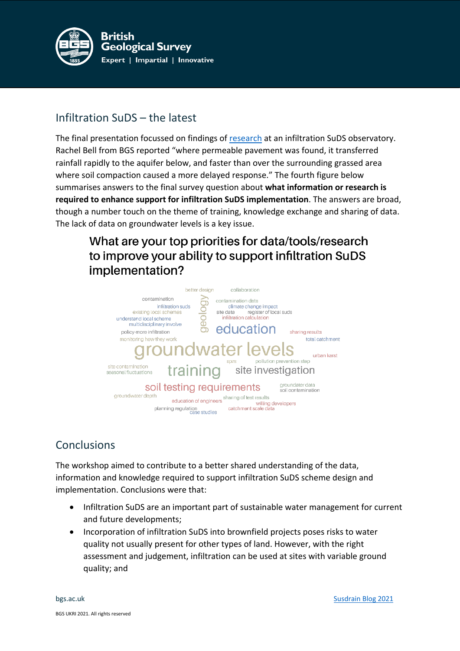

## Infiltration SuDS – the latest

The final presentation focussed on findings of [research](https://doi.org/10.1111/jfr3.12629) at an infiltration SuDS observatory. Rachel Bell from BGS reported "where permeable pavement was found, it transferred rainfall rapidly to the aquifer below, and faster than over the surrounding grassed area where soil compaction caused a more delayed response." The fourth figure below summarises answers to the final survey question about **what information or research is required to enhance support for infiltration SuDS implementation**. The answers are broad, though a number touch on the theme of training, knowledge exchange and sharing of data. The lack of data on groundwater levels is a key issue.

# What are your top priorities for data/tools/research to improve your ability to support infiltration SuDS implementation?



## Conclusions

The workshop aimed to contribute to a better shared understanding of the data, information and knowledge required to support infiltration SuDS scheme design and implementation. Conclusions were that:

- Infiltration SuDS are an important part of sustainable water management for current and future developments;
- Incorporation of infiltration SuDS into brownfield projects poses risks to water quality not usually present for other types of land. However, with the right assessment and judgement, infiltration can be used at sites with variable ground quality; and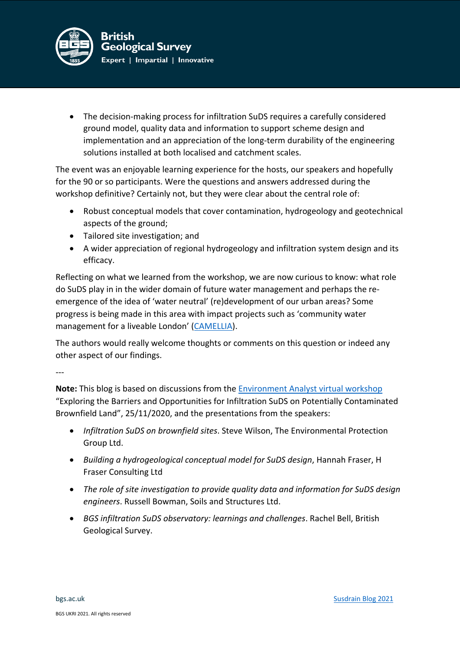

• The decision-making process for infiltration SuDS requires a carefully considered ground model, quality data and information to support scheme design and implementation and an appreciation of the long-term durability of the engineering solutions installed at both localised and catchment scales.

The event was an enjoyable learning experience for the hosts, our speakers and hopefully for the 90 or so participants. Were the questions and answers addressed during the workshop definitive? Certainly not, but they were clear about the central role of:

- Robust conceptual models that cover contamination, hydrogeology and geotechnical aspects of the ground;
- Tailored site investigation; and
- A wider appreciation of regional hydrogeology and infiltration system design and its efficacy.

Reflecting on what we learned from the workshop, we are now curious to know: what role do SuDS play in in the wider domain of future water management and perhaps the reemergence of the idea of 'water neutral' (re)development of our urban areas? Some progress is being made in this area with impact projects such as 'community water management for a liveable London' [\(CAMELLIA\)](https://www.camelliawater.org/).

The authors would really welcome thoughts or comments on this question or indeed any other aspect of our findings.

---

**Note:** This blog is based on discussions from the [Environment Analyst virtual workshop](https://events.environment-analyst.com/106154/exploring-the-barriers-and-opportunities-for-infiltration-suds-on-potentially-contaminated-brownfield-land/programme) "Exploring the Barriers and Opportunities for Infiltration SuDS on Potentially Contaminated Brownfield Land", 25/11/2020, and the presentations from the speakers:

- *Infiltration SuDS on brownfield sites*. Steve Wilson, The Environmental Protection Group Ltd.
- *Building a hydrogeological conceptual model for SuDS design*, Hannah Fraser, H Fraser Consulting Ltd
- *The role of site investigation to provide quality data and information for SuDS design engineers*. Russell Bowman, Soils and Structures Ltd.
- *BGS infiltration SuDS observatory: learnings and challenges*. Rachel Bell, British Geological Survey.